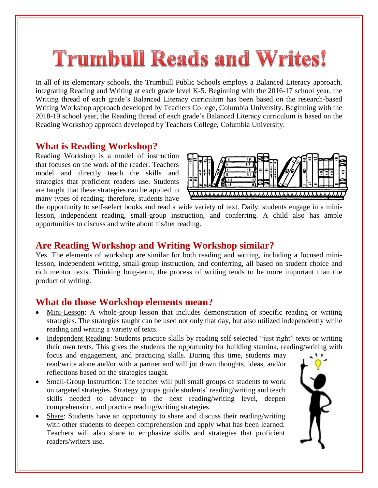# **Trumbull Reads and Writes!**

In all of its elementary schools, the Trumbull Public Schools employs a Balanced Literacy approach, integrating Reading and Writing at each grade level K-5. Beginning with the 2016-17 school year, the Writing thread of each grade's Balanced Literacy curriculum has been based on the research-based Writing Workshop approach developed by Teachers College, Columbia University. Beginning with the 2018-19 school year, the Reading thread of each grade's Balanced Literacy curriculum is based on the Reading Workshop approach developed by Teachers College, Columbia University.

#### **What is Reading Workshop?**

Reading Workshop is a model of instruction that focuses on the work of the reader. Teachers model and directly teach the skills and strategies that proficient readers use. Students are taught that these strategies can be applied to many types of reading; therefore, students have



the opportunity to self-select books and read a wide variety of text. Daily, students engage in a minilesson, independent reading, small-group instruction, and conferring. A child also has ample opportunities to discuss and write about his/her reading.

## **Are Reading Workshop and Writing Workshop similar?**

Yes. The elements of workshop are similar for both reading and writing, including a focused minilesson, independent writing, small-group instruction, and conferring, all based on student choice and rich mentor texts. Thinking long-term, the process of writing tends to be more important than the product of writing.

#### **What do those Workshop elements mean?**

- Mini-Lesson: A whole-group lesson that includes demonstration of specific reading or writing strategies. The strategies taught can be used not only that day, but also utilized independently while reading and writing a variety of texts.
- Independent Reading: Students practice skills by reading self-selected "just right" texts or writing their own texts. This gives the students the opportunity for building stamina, reading/writing with focus and engagement, and practicing skills. During this time, students may read/write alone and/or with a partner and will jot down thoughts, ideas, and/or reflections based on the strategies taught.
- Small-Group Instruction: The teacher will pull small groups of students to work on targeted strategies. Strategy groups guide students' reading/writing and teach skills needed to advance to the next reading/writing level, deepen comprehension, and practice reading/writing strategies.
- Share: Students have an opportunity to share and discuss their reading/writing with other students to deepen comprehension and apply what has been learned. Teachers will also share to emphasize skills and strategies that proficient readers/writers use.